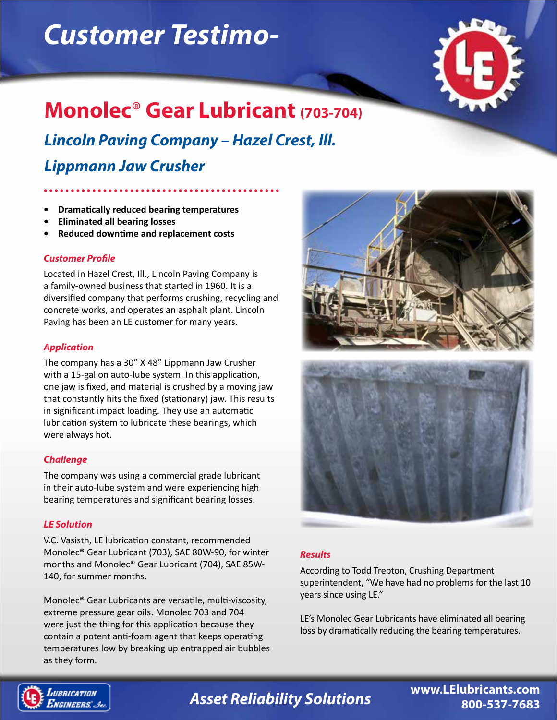# *Customer Testimo-*



## **Monolec**® **Gear Lubricant (703-704)**

*Lincoln Paving Company* **–** *Hazel Crest, Ill.*

*Lippmann Jaw Crusher*

- **• Dramatically reduced bearing temperatures**
- **• Eliminated all bearing losses**
- **• Reduced downtime and replacement costs**

#### *Customer Profile*

Located in Hazel Crest, Ill., Lincoln Paving Company is a family-owned business that started in 1960. It is a diversified company that performs crushing, recycling and concrete works, and operates an asphalt plant. Lincoln Paving has been an LE customer for many years.

#### *Application*

The company has a 30" X 48" Lippmann Jaw Crusher with a 15-gallon auto-lube system. In this application, one jaw is fixed, and material is crushed by a moving jaw that constantly hits the fixed (stationary) jaw. This results in significant impact loading. They use an automatic lubrication system to lubricate these bearings, which were always hot.

#### *Challenge*

The company was using a commercial grade lubricant in their auto-lube system and were experiencing high bearing temperatures and significant bearing losses.

### *LE Solution*

V.C. Vasisth, LE lubrication constant, recommended Monolec® Gear Lubricant (703), SAE 80W-90, for winter months and Monolec® Gear Lubricant (704), SAE 85W-140, for summer months.

Monolec® Gear Lubricants are versatile, multi-viscosity, extreme pressure gear oils. Monolec 703 and 704 were just the thing for this application because they contain a potent anti-foam agent that keeps operating temperatures low by breaking up entrapped air bubbles as they form.



#### *Results*

According to Todd Trepton, Crushing Department superintendent, "We have had no problems for the last 10 years since using LE."

LE's Monolec Gear Lubricants have eliminated all bearing loss by dramatically reducing the bearing temperatures.



# *Asset Reliability Solutions* **www.LElubricants.com**

**800-537-7683**